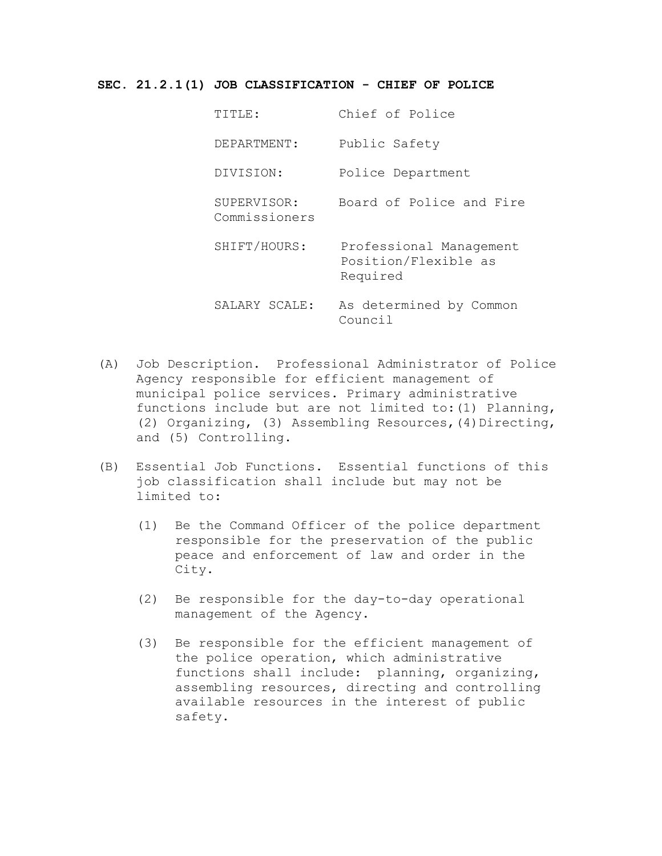## **SEC. 21.2.1(1) JOB CLASSIFICATION - CHIEF OF POLICE**

| TITLE:                       | Chief of Police                                             |
|------------------------------|-------------------------------------------------------------|
| DEPARTMENT:                  | Public Safety                                               |
| DIVISION:                    | Police Department                                           |
| SUPERVISOR:<br>Commissioners | Board of Police and Fire                                    |
| SHIFT/HOURS:                 | Professional Management<br>Position/Flexible as<br>Required |
| SALARY SCALE:                | As determined by Common<br>Council                          |

- (A) Job Description. Professional Administrator of Police Agency responsible for efficient management of municipal police services. Primary administrative functions include but are not limited to:(1) Planning, (2) Organizing, (3) Assembling Resources,(4)Directing, and (5) Controlling.
- (B) Essential Job Functions. Essential functions of this job classification shall include but may not be limited to:
	- (1) Be the Command Officer of the police department responsible for the preservation of the public peace and enforcement of law and order in the City.
	- (2) Be responsible for the day-to-day operational management of the Agency.
	- (3) Be responsible for the efficient management of the police operation, which administrative functions shall include: planning, organizing, assembling resources, directing and controlling available resources in the interest of public safety.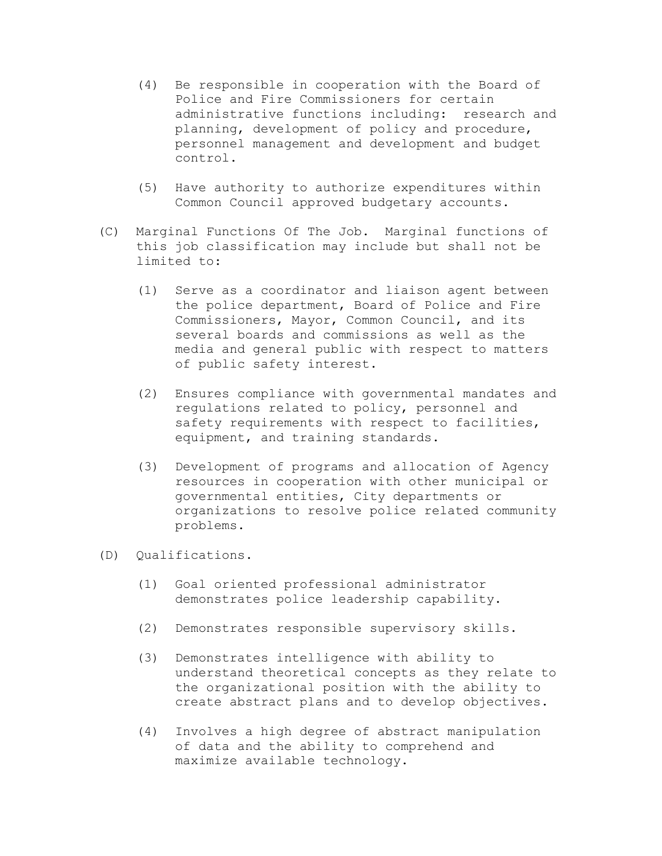- (4) Be responsible in cooperation with the Board of Police and Fire Commissioners for certain administrative functions including: research and planning, development of policy and procedure, personnel management and development and budget control.
- (5) Have authority to authorize expenditures within Common Council approved budgetary accounts.
- (C) Marginal Functions Of The Job. Marginal functions of this job classification may include but shall not be limited to:
	- (1) Serve as a coordinator and liaison agent between the police department, Board of Police and Fire Commissioners, Mayor, Common Council, and its several boards and commissions as well as the media and general public with respect to matters of public safety interest.
	- (2) Ensures compliance with governmental mandates and regulations related to policy, personnel and safety requirements with respect to facilities, equipment, and training standards.
	- (3) Development of programs and allocation of Agency resources in cooperation with other municipal or governmental entities, City departments or organizations to resolve police related community problems.
- (D) Qualifications.
	- (1) Goal oriented professional administrator demonstrates police leadership capability.
	- (2) Demonstrates responsible supervisory skills.
	- (3) Demonstrates intelligence with ability to understand theoretical concepts as they relate to the organizational position with the ability to create abstract plans and to develop objectives.
	- (4) Involves a high degree of abstract manipulation of data and the ability to comprehend and maximize available technology.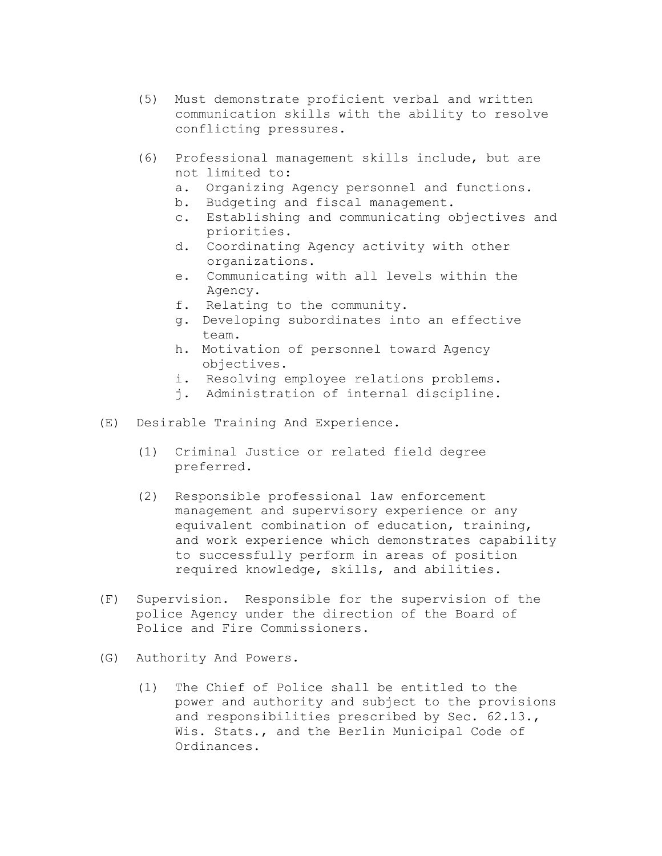- (5) Must demonstrate proficient verbal and written communication skills with the ability to resolve conflicting pressures.
- (6) Professional management skills include, but are not limited to:
	- a. Organizing Agency personnel and functions.
	- b. Budgeting and fiscal management.
	- c. Establishing and communicating objectives and priorities.
	- d. Coordinating Agency activity with other organizations.
	- e. Communicating with all levels within the Agency.
	- f. Relating to the community.
	- g. Developing subordinates into an effective team.
	- h. Motivation of personnel toward Agency objectives.
	- i. Resolving employee relations problems.
	- j. Administration of internal discipline.
- (E) Desirable Training And Experience.
	- (1) Criminal Justice or related field degree preferred.
	- (2) Responsible professional law enforcement management and supervisory experience or any equivalent combination of education, training, and work experience which demonstrates capability to successfully perform in areas of position required knowledge, skills, and abilities.
- (F) Supervision. Responsible for the supervision of the police Agency under the direction of the Board of Police and Fire Commissioners.
- (G) Authority And Powers.
	- (1) The Chief of Police shall be entitled to the power and authority and subject to the provisions and responsibilities prescribed by Sec. 62.13., Wis. Stats., and the Berlin Municipal Code of Ordinances.